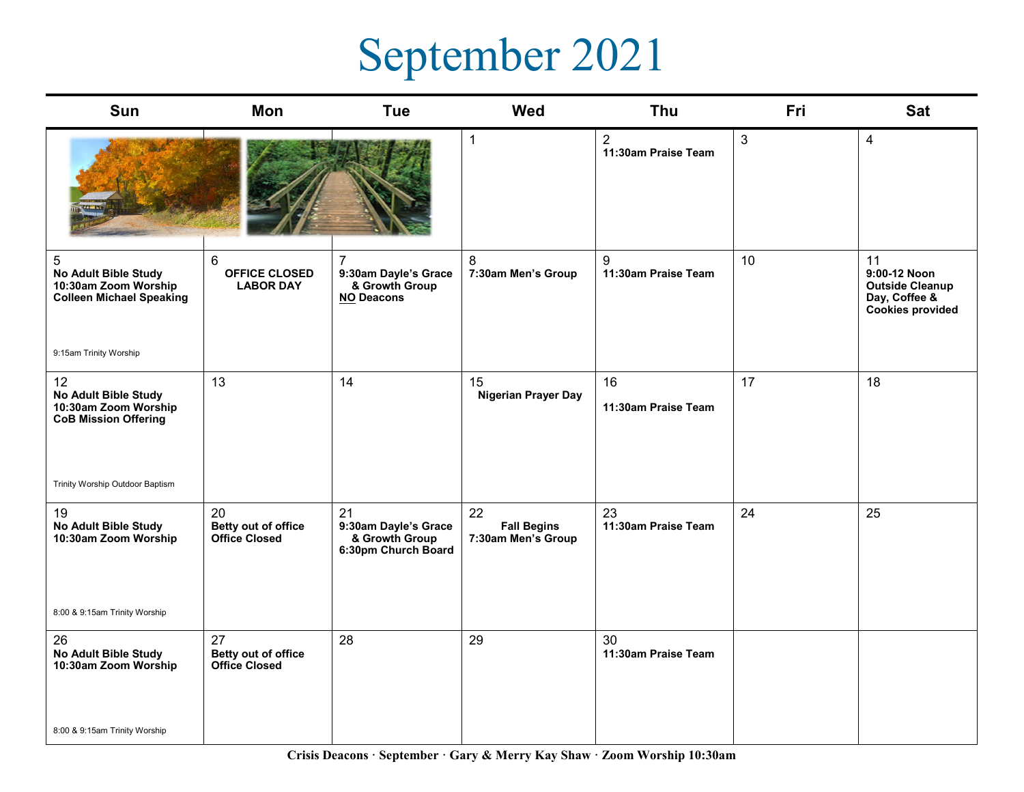## September 2021

| Sun                                                                                  | Mon                                                        | <b>Tue</b>                                                                    | <b>Wed</b>                                     | Thu                                   | <b>Fri</b> | <b>Sat</b>                                                                               |
|--------------------------------------------------------------------------------------|------------------------------------------------------------|-------------------------------------------------------------------------------|------------------------------------------------|---------------------------------------|------------|------------------------------------------------------------------------------------------|
|                                                                                      |                                                            |                                                                               | $\mathbf{1}$                                   | $\overline{2}$<br>11:30am Praise Team | 3          | $\overline{4}$                                                                           |
| 5<br>No Adult Bible Study<br>10:30am Zoom Worship<br><b>Colleen Michael Speaking</b> | $6\phantom{1}$<br><b>OFFICE CLOSED</b><br><b>LABOR DAY</b> | $\overline{7}$<br>9:30am Dayle's Grace<br>& Growth Group<br><b>NO Deacons</b> | 8<br>7:30am Men's Group                        | 9<br>11:30am Praise Team              | 10         | 11<br>9:00-12 Noon<br><b>Outside Cleanup</b><br>Day, Coffee &<br><b>Cookies provided</b> |
| 9:15am Trinity Worship                                                               |                                                            |                                                                               |                                                |                                       |            |                                                                                          |
| 12<br>No Adult Bible Study<br>10:30am Zoom Worship<br><b>CoB Mission Offering</b>    | 13                                                         | 14                                                                            | 15<br><b>Nigerian Prayer Day</b>               | 16<br>11:30am Praise Team             | 17         | 18                                                                                       |
| Trinity Worship Outdoor Baptism                                                      |                                                            |                                                                               |                                                |                                       |            |                                                                                          |
| 19<br>No Adult Bible Study<br>10:30am Zoom Worship                                   | 20<br>Betty out of office<br><b>Office Closed</b>          | 21<br>9:30am Dayle's Grace<br>& Growth Group<br>6:30pm Church Board           | 22<br><b>Fall Begins</b><br>7:30am Men's Group | 23<br>11:30am Praise Team             | 24         | 25                                                                                       |
| 8:00 & 9:15am Trinity Worship                                                        |                                                            |                                                                               |                                                |                                       |            |                                                                                          |
| 26<br><b>No Adult Bible Study</b><br>10:30am Zoom Worship                            | 27<br>Betty out of office<br><b>Office Closed</b>          | 28                                                                            | 29                                             | 30<br>11:30am Praise Team             |            |                                                                                          |
| 8:00 & 9:15am Trinity Worship                                                        |                                                            |                                                                               |                                                |                                       |            |                                                                                          |